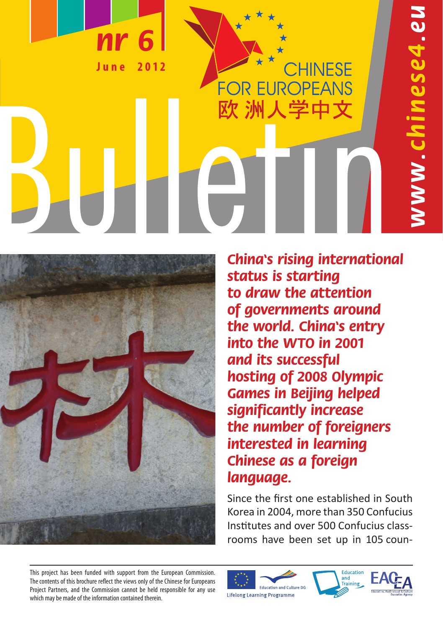**J u n e 2 0 1 2** 

**nr 6**

**China's rising international status is starting to draw the attention of governments around the world. China's entry into the WTO in 2001 and its successful hosting of 2008 Olympic Games in Beijing helped significantly increase the number of foreigners interested in learning Chinese as a foreign language.**

CHINESE

**FOR EUROPEANS** 欧 洲人学中文

Since the first one established in South Korea in 2004, more than 350 Confucius Institutes and over 500 Confucius classrooms have been set up in 105 coun-

This project has been funded with support from the European Commission. The contents of this brochure reflect the views only of the Chinese for Europeans Project Partners, and the Commission cannot be held responsible for any use which may be made of the information contained therein.







1ese4.eu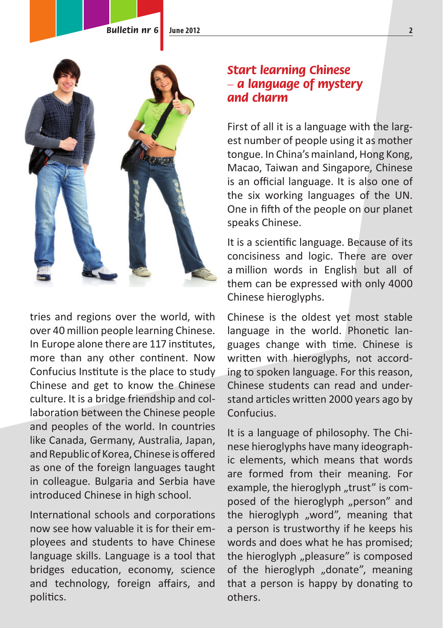**Bulletin nr 6 June 2012**



tries and regions over the world, with over 40 million people learning Chinese. In Europe alone there are 117 institutes, more than any other continent. Now Confucius Institute is the place to study Chinese and get to know the Chinese culture. It is a bridge friendship and collaboration between the Chinese people and peoples of the world. In countries like Canada, Germany, Australia, Japan, and Republic of Korea, Chinese is offered as one of the foreign languages taught in colleague. Bulgaria and Serbia have introduced Chinese in high school.

International schools and corporations now see how valuable it is for their employees and students to have Chinese language skills. Language is a tool that bridges education, economy, science and technology, foreign affairs, and politics.

# **Start learning Chinese – a language of mystery and charm**

First of all it is a language with the largest number of people using it as mother tongue. In China's mainland, Hong Kong, Macao, Taiwan and Singapore, Chinese is an official language. It is also one of the six working languages of the UN. One in fifth of the people on our planet speaks Chinese.

It is a scientific language. Because of its concisiness and logic. There are over a million words in English but all of them can be expressed with only 4000 Chinese hieroglyphs.

Chinese is the oldest yet most stable language in the world. Phonetic languages change with time. Chinese is written with hieroglyphs, not according to spoken language. For this reason, Chinese students can read and understand articles written 2000 years ago by Confucius.

It is a language of philosophy. The Chinese hieroglyphs have many ideographic elements, which means that words are formed from their meaning. For example, the hieroglyph "trust" is composed of the hieroglyph ..person" and the hieroglyph "word", meaning that a person is trustworthy if he keeps his words and does what he has promised; the hieroglyph "pleasure" is composed of the hieroglyph "donate", meaning that a person is happy by donating to others.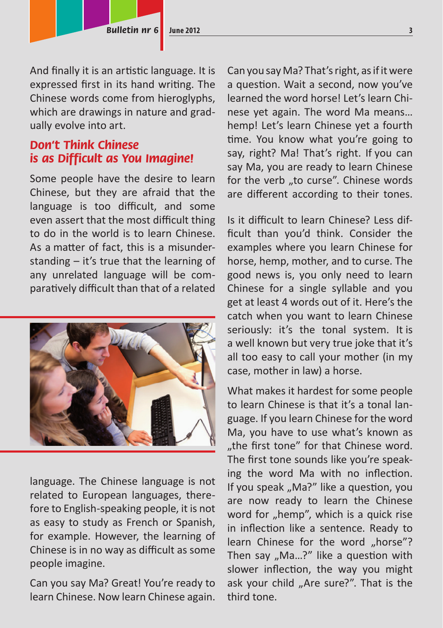And finally it is an artistic language. It is expressed first in its hand writing. The Chinese words come from hieroglyphs, which are drawings in nature and gradually evolve into art.

# **Don't Think Chinese is as Difficult as You Imagine!**

Some people have the desire to learn Chinese, but they are afraid that the language is too difficult, and some even assert that the most difficult thing to do in the world is to learn Chinese. As a matter of fact, this is a misunderstanding – it's true that the learning of any unrelated language will be comparatively difficult than that of a related



language. The Chinese language is not related to European languages, therefore to English-speaking people, it is not as easy to study as French or Spanish, for example. However, the learning of Chinese is in no way as difficult as some people imagine.

Can you say Ma? Great! You're ready to learn Chinese. Now learn Chinese again.

Can you say Ma? That's right, as if it were a question. Wait a second, now you've learned the word horse! Let's learn Chinese yet again. The word Ma means… hemp! Let's learn Chinese yet a fourth time. You know what you're going to say, right? Ma! That's right. If you can say Ma, you are ready to learn Chinese for the verb "to curse". Chinese words are different according to their tones.

Is it difficult to learn Chinese? Less difficult than you'd think. Consider the examples where you learn Chinese for horse, hemp, mother, and to curse. The good news is, you only need to learn Chinese for a single syllable and you get at least 4 words out of it. Here's the catch when you want to learn Chinese seriously: it's the tonal system. It is a well known but very true joke that it's all too easy to call your mother (in my case, mother in law) a horse.

What makes it hardest for some people to learn Chinese is that it's a tonal language. If you learn Chinese for the word Ma, you have to use what's known as "the first tone" for that Chinese word. The first tone sounds like you're speaking the word Ma with no inflection. If you speak "Ma?" like a question, you are now ready to learn the Chinese word for "hemp", which is a quick rise in inflection like a sentence. Ready to learn Chinese for the word "horse"? Then say  $n$ Ma...?" like a question with slower inflection, the way you might ask your child "Are sure?". That is the third tone.